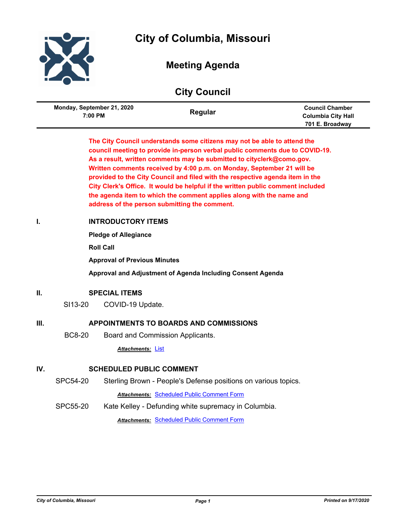

# **City of Columbia, Missouri**

## **Meeting Agenda**

**City Council**

| Monday, September 21, 2020<br>7:00 PM | Regular | <b>Council Chamber</b>    |
|---------------------------------------|---------|---------------------------|
|                                       |         | <b>Columbia City Hall</b> |
|                                       |         | 701 E. Broadway           |

**The City Council understands some citizens may not be able to attend the council meeting to provide in-person verbal public comments due to COVID-19. As a result, written comments may be submitted to cityclerk@como.gov. Written comments received by 4:00 p.m. on Monday, September 21 will be provided to the City Council and filed with the respective agenda item in the City Clerk's Office. It would be helpful if the written public comment included the agenda item to which the comment applies along with the name and address of the person submitting the comment.**

## **I. INTRODUCTORY ITEMS**

**Pledge of Allegiance**

**Roll Call**

**Approval of Previous Minutes**

**Approval and Adjustment of Agenda Including Consent Agenda**

## **II. SPECIAL ITEMS**

SI13-20 COVID-19 Update.

### **III. APPOINTMENTS TO BOARDS AND COMMISSIONS**

BC8-20 Board and Commission Applicants.

*Attachments:* [List](http://gocolumbiamo.legistar.com/gateway.aspx?M=F&ID=9afad98c-1eaf-41d8-8ce8-e03596dc1f48.pdf)

### **IV. SCHEDULED PUBLIC COMMENT**

SPC54-20 Sterling Brown - People's Defense positions on various topics.

**Attachments: [Scheduled Public Comment Form](http://gocolumbiamo.legistar.com/gateway.aspx?M=F&ID=62dcd4b2-e82c-485e-9e9c-a4b45e62ae74.pdf)** 

SPC55-20 Kate Kelley - Defunding white supremacy in Columbia.

*Attachments:* [Scheduled Public Comment Form](http://gocolumbiamo.legistar.com/gateway.aspx?M=F&ID=51d6a033-9eb4-4271-a72d-e69ceca4091e.pdf)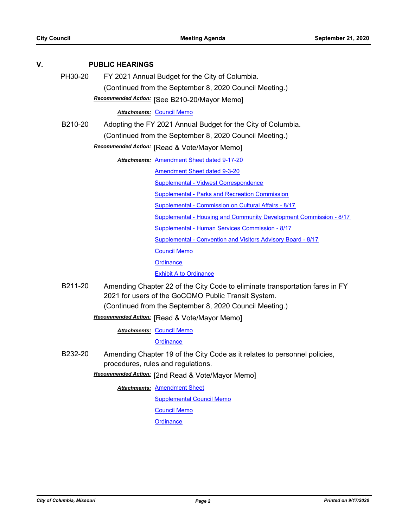| V. |                                                                                                                                                | <b>PUBLIC HEARINGS</b>                                                                                          |
|----|------------------------------------------------------------------------------------------------------------------------------------------------|-----------------------------------------------------------------------------------------------------------------|
|    | PH30-20                                                                                                                                        | FY 2021 Annual Budget for the City of Columbia.                                                                 |
|    |                                                                                                                                                | (Continued from the September 8, 2020 Council Meeting.)                                                         |
|    |                                                                                                                                                | Recommended Action: [See B210-20/Mayor Memo]                                                                    |
|    |                                                                                                                                                | <b>Attachments: Council Memo</b>                                                                                |
|    | B210-20                                                                                                                                        | Adopting the FY 2021 Annual Budget for the City of Columbia.                                                    |
|    |                                                                                                                                                | (Continued from the September 8, 2020 Council Meeting.)                                                         |
|    |                                                                                                                                                | Recommended Action: [Read & Vote/Mayor Memo]                                                                    |
|    |                                                                                                                                                | Attachments: Amendment Sheet dated 9-17-20                                                                      |
|    |                                                                                                                                                | <b>Amendment Sheet dated 9-3-20</b>                                                                             |
|    |                                                                                                                                                | Supplemental - Vidwest Correspondence                                                                           |
|    |                                                                                                                                                | <b>Supplemental - Parks and Recreation Commission</b>                                                           |
|    |                                                                                                                                                | Supplemental - Commission on Cultural Affairs - 8/17                                                            |
|    |                                                                                                                                                | Supplemental - Housing and Community Development Commission - 8/17                                              |
|    |                                                                                                                                                | Supplemental - Human Services Commission - 8/17                                                                 |
|    |                                                                                                                                                | <b>Supplemental - Convention and Visitors Advisory Board - 8/17</b>                                             |
|    |                                                                                                                                                | <b>Council Memo</b>                                                                                             |
|    |                                                                                                                                                | Ordinance                                                                                                       |
|    |                                                                                                                                                | <b>Exhibit A to Ordinance</b>                                                                                   |
|    | B211-20<br>Amending Chapter 22 of the City Code to eliminate transportation fares in FY<br>2021 for users of the GoCOMO Public Transit System. |                                                                                                                 |
|    |                                                                                                                                                | (Continued from the September 8, 2020 Council Meeting.)                                                         |
|    |                                                                                                                                                | Recommended Action: [Read & Vote/Mayor Memo]                                                                    |
|    |                                                                                                                                                | <b>Attachments: Council Memo</b>                                                                                |
|    |                                                                                                                                                | Ordinance                                                                                                       |
|    | B232-20                                                                                                                                        | Amending Chapter 19 of the City Code as it relates to personnel policies,<br>procedures, rules and regulations. |
|    |                                                                                                                                                | Recommended Action: [2nd Read & Vote/Mayor Memo]                                                                |
|    |                                                                                                                                                | <b>Attachments: Amendment Sheet</b>                                                                             |
|    |                                                                                                                                                | <b>Supplemental Council Memo</b>                                                                                |
|    |                                                                                                                                                | <b>Council Memo</b>                                                                                             |
|    |                                                                                                                                                | <b>Ordinance</b>                                                                                                |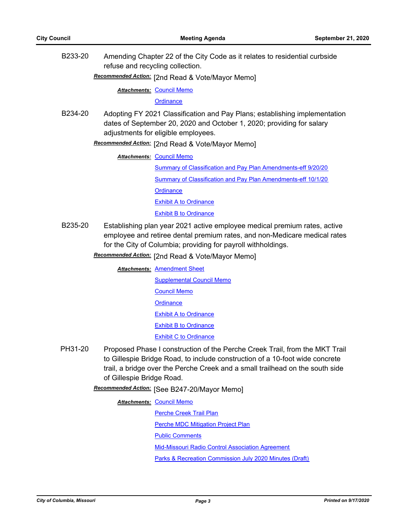B233-20 Amending Chapter 22 of the City Code as it relates to residential curbside refuse and recycling collection.

[2nd Read & Vote/Mayor Memo] *Recommended Action:*

**Attachments: [Council Memo](http://gocolumbiamo.legistar.com/gateway.aspx?M=F&ID=79ae2610-37b8-4a41-8e20-52496cd08547.docx)** 

**[Ordinance](http://gocolumbiamo.legistar.com/gateway.aspx?M=F&ID=51dd93f4-8d9c-4bf0-8997-85e754b96ecc.doc)** 

B234-20 Adopting FY 2021 Classification and Pay Plans; establishing implementation dates of September 20, 2020 and October 1, 2020; providing for salary adjustments for eligible employees.

Recommended Action: [2nd Read & Vote/Mayor Memo]

**Attachments: [Council Memo](http://gocolumbiamo.legistar.com/gateway.aspx?M=F&ID=58c42595-99f8-4817-a0de-938b5e2e0b04.docx)** 

[Summary of Classification and Pay Plan Amendments-eff 9/20/20](http://gocolumbiamo.legistar.com/gateway.aspx?M=F&ID=3a55c08c-08d7-419b-9e4a-98a81f4a3f43.doc) [Summary of Classification and Pay Plan Amendments-eff 10/1/20](http://gocolumbiamo.legistar.com/gateway.aspx?M=F&ID=d8dca568-769a-47cc-89da-9f46af338dfd.doc) **[Ordinance](http://gocolumbiamo.legistar.com/gateway.aspx?M=F&ID=6db02a81-02ee-4211-9cd6-5abaf94e2c84.doc)** [Exhibit A to Ordinance](http://gocolumbiamo.legistar.com/gateway.aspx?M=F&ID=5becc747-ba2e-4e25-b9de-ca28c4b2590e.pdf) [Exhibit B to Ordinance](http://gocolumbiamo.legistar.com/gateway.aspx?M=F&ID=e7c4d5d8-2d0a-4238-ae4a-dc906b3ebe58.pdf)

- B235-20 Establishing plan year 2021 active employee medical premium rates, active employee and retiree dental premium rates, and non-Medicare medical rates for the City of Columbia; providing for payroll withholdings.
	- Recommended Action: [2nd Read & Vote/Mayor Memo]

**Attachments: [Amendment Sheet](http://gocolumbiamo.legistar.com/gateway.aspx?M=F&ID=7f41e771-8ffb-4d7b-bd47-bdd30f6db41b.pdf)** [Supplemental Council Memo](http://gocolumbiamo.legistar.com/gateway.aspx?M=F&ID=96bbafb4-38df-4d76-a167-d43b3404b6b7.docx) [Council Memo](http://gocolumbiamo.legistar.com/gateway.aspx?M=F&ID=f344ff4d-b9a2-4d57-ab64-3f413b1505ce.docx) **[Ordinance](http://gocolumbiamo.legistar.com/gateway.aspx?M=F&ID=9d489740-cfbb-4b49-ad83-d53ed2c7500a.doc)** [Exhibit A to Ordinance](http://gocolumbiamo.legistar.com/gateway.aspx?M=F&ID=cc7b62e4-f386-4353-bc22-443d818a3c0d.pdf) [Exhibit B to Ordinance](http://gocolumbiamo.legistar.com/gateway.aspx?M=F&ID=119905bc-5113-454a-b7ef-8bdc481f5ec4.pdf) [Exhibit C to Ordinance](http://gocolumbiamo.legistar.com/gateway.aspx?M=F&ID=3b9ad44b-88a5-4f0e-90ed-cac515eb8f2a.pdf)

- PH31-20 Proposed Phase I construction of the Perche Creek Trail, from the MKT Trail to Gillespie Bridge Road, to include construction of a 10-foot wide concrete trail, a bridge over the Perche Creek and a small trailhead on the south side of Gillespie Bridge Road.
	- [See B247-20/Mayor Memo] *Recommended Action:*

**Attachments: [Council Memo](http://gocolumbiamo.legistar.com/gateway.aspx?M=F&ID=7a0a8f16-8607-4c22-8176-7bf3c2978be4.docx)** 

[Perche Creek Trail Plan](http://gocolumbiamo.legistar.com/gateway.aspx?M=F&ID=d8a58c24-91d0-4678-875b-773b587d722d.pdf)

[Perche MDC Mitigation Project Plan](http://gocolumbiamo.legistar.com/gateway.aspx?M=F&ID=736867a7-50b2-4035-8d8c-ec99944b0908.pdf)

[Public Comments](http://gocolumbiamo.legistar.com/gateway.aspx?M=F&ID=55862bee-33fd-4f38-bffe-a7bafbd80d7e.pdf)

[Mid-Missouri Radio Control Association Agreement](http://gocolumbiamo.legistar.com/gateway.aspx?M=F&ID=433b6962-3926-45b2-893a-7e77bcd0b6fa.pdf)

[Parks & Recreation Commission July 2020 Minutes \(Draft\)](http://gocolumbiamo.legistar.com/gateway.aspx?M=F&ID=e42df245-6dc4-4c71-b178-1436799b722a.pdf)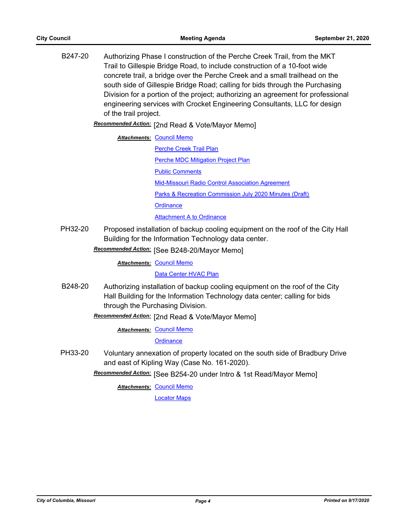B247-20 Authorizing Phase I construction of the Perche Creek Trail, from the MKT Trail to Gillespie Bridge Road, to include construction of a 10-foot wide concrete trail, a bridge over the Perche Creek and a small trailhead on the south side of Gillespie Bridge Road; calling for bids through the Purchasing Division for a portion of the project; authorizing an agreement for professional engineering services with Crocket Engineering Consultants, LLC for design of the trail project.

Recommended Action: [2nd Read & Vote/Mayor Memo]

### **Attachments: [Council Memo](http://gocolumbiamo.legistar.com/gateway.aspx?M=F&ID=87ab708b-e1fb-4c32-b53a-dce90a42c088.docx)**

[Perche Creek Trail Plan](http://gocolumbiamo.legistar.com/gateway.aspx?M=F&ID=fe6eaa50-b26c-4a54-87a8-bcceb855a51f.pdf) [Perche MDC Mitigation Project Plan](http://gocolumbiamo.legistar.com/gateway.aspx?M=F&ID=9d36fb8a-258b-4eb7-909a-c6a6ea297ad1.pdf) [Public Comments](http://gocolumbiamo.legistar.com/gateway.aspx?M=F&ID=9db63936-d5e7-4ddd-bbd0-08dab68d0198.pdf) [Mid-Missouri Radio Control Association Agreement](http://gocolumbiamo.legistar.com/gateway.aspx?M=F&ID=d8cade8a-0569-42b5-94f3-2fc4f5515321.pdf) [Parks & Recreation Commission July 2020 Minutes \(Draft\)](http://gocolumbiamo.legistar.com/gateway.aspx?M=F&ID=e171ec02-05d4-431a-8232-a67f11ccb945.pdf) **[Ordinance](http://gocolumbiamo.legistar.com/gateway.aspx?M=F&ID=f4aacb78-8c78-4cae-b8d1-1bac953a6072.doc)** [Attachment A to Ordinance](http://gocolumbiamo.legistar.com/gateway.aspx?M=F&ID=2d0415b4-d96c-403d-b61a-563c4b25bd45.pdf)

PH32-20 Proposed installation of backup cooling equipment on the roof of the City Hall Building for the Information Technology data center.

[See B248-20/Mayor Memo] *Recommended Action:*

**Attachments: [Council Memo](http://gocolumbiamo.legistar.com/gateway.aspx?M=F&ID=37320e4b-141e-4191-8739-8dd5962b69d3.docx)** 

[Data Center HVAC Plan](http://gocolumbiamo.legistar.com/gateway.aspx?M=F&ID=e7ce8786-b1f6-499b-aa44-b5588f481de1.pdf)

- B248-20 Authorizing installation of backup cooling equipment on the roof of the City Hall Building for the Information Technology data center; calling for bids through the Purchasing Division.
	- [2nd Read & Vote/Mayor Memo] *Recommended Action:*

**Attachments: [Council Memo](http://gocolumbiamo.legistar.com/gateway.aspx?M=F&ID=1d1782a3-ff0e-4539-969a-ae650f19bfed.docx)** 

**[Ordinance](http://gocolumbiamo.legistar.com/gateway.aspx?M=F&ID=73276266-0841-4a0b-9276-35bce6cc9a0b.doc)** 

PH33-20 Voluntary annexation of property located on the south side of Bradbury Drive and east of Kipling Way (Case No. 161-2020).

Recommended Action: [See B254-20 under Intro & 1st Read/Mayor Memo]

**Attachments: [Council Memo](http://gocolumbiamo.legistar.com/gateway.aspx?M=F&ID=705ddeb2-764a-4116-9af0-39a26a364788.docx)** 

[Locator Maps](http://gocolumbiamo.legistar.com/gateway.aspx?M=F&ID=50849120-c6d3-41f1-b537-18961240bd6d.pdf)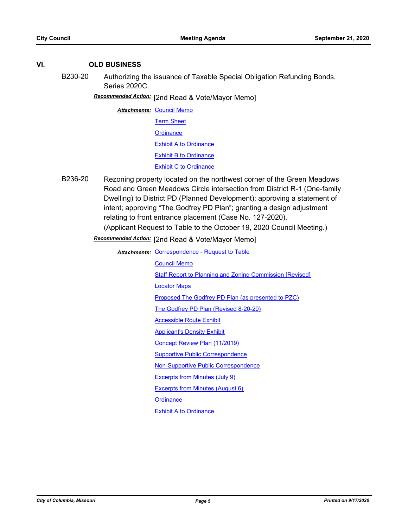## **VI. OLD BUSINESS**

B230-20 Authorizing the issuance of Taxable Special Obligation Refunding Bonds, Series 2020C.

[2nd Read & Vote/Mayor Memo] *Recommended Action:*

**Attachments: [Council Memo](http://gocolumbiamo.legistar.com/gateway.aspx?M=F&ID=8c21fcd0-3436-4340-9c67-add85b1465aa.docx)** [Term Sheet](http://gocolumbiamo.legistar.com/gateway.aspx?M=F&ID=de77c771-172e-4cda-82d2-f4dbbe1929f4.pdf) **[Ordinance](http://gocolumbiamo.legistar.com/gateway.aspx?M=F&ID=c5389380-4145-4f99-a207-ea1e2db5bd7b.doc)** [Exhibit A to Ordinance](http://gocolumbiamo.legistar.com/gateway.aspx?M=F&ID=04e4bb04-f925-4045-b899-0a6d519fb9db.pdf) [Exhibit B to Ordinance](http://gocolumbiamo.legistar.com/gateway.aspx?M=F&ID=702c15fc-2e82-432a-9b8b-c48919685272.pdf) [Exhibit C to Ordinance](http://gocolumbiamo.legistar.com/gateway.aspx?M=F&ID=1855f252-b5a4-4f94-ad96-165b39ff67ff.pdf)

B236-20 Rezoning property located on the northwest corner of the Green Meadows Road and Green Meadows Circle intersection from District R-1 (One-family Dwelling) to District PD (Planned Development); approving a statement of intent; approving "The Godfrey PD Plan"; granting a design adjustment relating to front entrance placement (Case No. 127-2020). (Applicant Request to Table to the October 19, 2020 Council Meeting.)

**Recommended Action:** [2nd Read & Vote/Mayor Memo]

| <b>Attachments: Correspondence - Request to Table</b>           |
|-----------------------------------------------------------------|
| <b>Council Memo</b>                                             |
| <b>Staff Report to Planning and Zoning Commission [Revised]</b> |
| <b>Locator Maps</b>                                             |
| Proposed The Godfrey PD Plan (as presented to PZC)              |
| The Godfrey PD Plan (Revised 8-20-20)                           |
| Accessible Route Exhibit                                        |
| <b>Applicant's Density Exhibit</b>                              |
| Concept Review Plan (11/2019)                                   |
| <b>Supportive Public Correspondence</b>                         |
| Non-Supportive Public Correspondence                            |
| Excerpts from Minutes (July 9)                                  |
| Excerpts from Minutes (August 6)                                |
| Ordinance                                                       |
| <b>Exhibit A to Ordinance</b>                                   |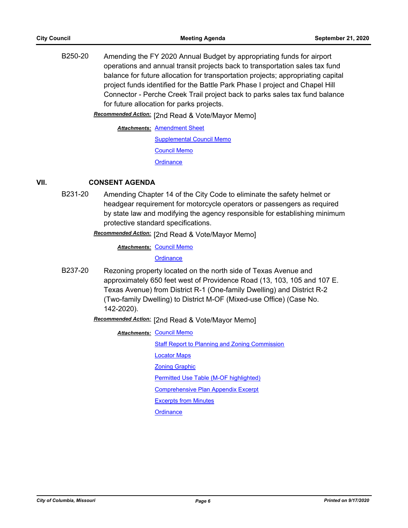B250-20 Amending the FY 2020 Annual Budget by appropriating funds for airport operations and annual transit projects back to transportation sales tax fund balance for future allocation for transportation projects; appropriating capital project funds identified for the Battle Park Phase I project and Chapel Hill Connector - Perche Creek Trail project back to parks sales tax fund balance for future allocation for parks projects.

Recommended Action: [2nd Read & Vote/Mayor Memo]

**Attachments: [Amendment Sheet](http://gocolumbiamo.legistar.com/gateway.aspx?M=F&ID=0d5dab7b-65d2-4e65-a838-0dce5f889666.doc)** [Supplemental Council Memo](http://gocolumbiamo.legistar.com/gateway.aspx?M=F&ID=21d5de7a-f13b-4543-87cd-db605836cc30.docx) [Council Memo](http://gocolumbiamo.legistar.com/gateway.aspx?M=F&ID=7e24d5f2-88d8-478a-a626-33a6e653ef3e.docx) **[Ordinance](http://gocolumbiamo.legistar.com/gateway.aspx?M=F&ID=c05e6ef6-cc8d-4113-a5c5-1aece5645e87.doc)** 

#### **VII. CONSENT AGENDA**

B231-20 Amending Chapter 14 of the City Code to eliminate the safety helmet or headgear requirement for motorcycle operators or passengers as required by state law and modifying the agency responsible for establishing minimum protective standard specifications.

Recommended Action: [2nd Read & Vote/Mayor Memo]

**Attachments: [Council Memo](http://gocolumbiamo.legistar.com/gateway.aspx?M=F&ID=4886ba75-775a-4d7d-a8e0-bc3b8151349b.docx)** 

**[Ordinance](http://gocolumbiamo.legistar.com/gateway.aspx?M=F&ID=23ae001e-18f5-47fb-8635-9bac1452a8e1.doc)** 

B237-20 Rezoning property located on the north side of Texas Avenue and approximately 650 feet west of Providence Road (13, 103, 105 and 107 E. Texas Avenue) from District R-1 (One-family Dwelling) and District R-2 (Two-family Dwelling) to District M-OF (Mixed-use Office) (Case No. 142-2020).

[2nd Read & Vote/Mayor Memo] *Recommended Action:*

**Attachments: [Council Memo](http://gocolumbiamo.legistar.com/gateway.aspx?M=F&ID=d67ec566-72a5-46be-a4a8-8b0c0b485b65.docx)** 

[Staff Report to Planning and Zoning Commission](http://gocolumbiamo.legistar.com/gateway.aspx?M=F&ID=ba42ed56-f69f-4404-bee5-e34e5101c5e3.docx)

[Locator Maps](http://gocolumbiamo.legistar.com/gateway.aspx?M=F&ID=115a412e-4f00-4ff2-9657-f403da3c5db7.pdf)

[Zoning Graphic](http://gocolumbiamo.legistar.com/gateway.aspx?M=F&ID=13971eee-1562-4edf-8967-b4c870aca7c1.pdf)

[Permitted Use Table \(M-OF highlighted\)](http://gocolumbiamo.legistar.com/gateway.aspx?M=F&ID=1056f22e-4a8a-4611-9eb9-4b5ce5f765dc.pdf)

[Comprehensive Plan Appendix Excerpt](http://gocolumbiamo.legistar.com/gateway.aspx?M=F&ID=e5b94ed3-c6f7-475c-acc2-4a69a9f9f8e8.pdf)

[Excerpts from Minutes](http://gocolumbiamo.legistar.com/gateway.aspx?M=F&ID=f81be1f8-11ee-4ff4-830d-db825100be02.docx)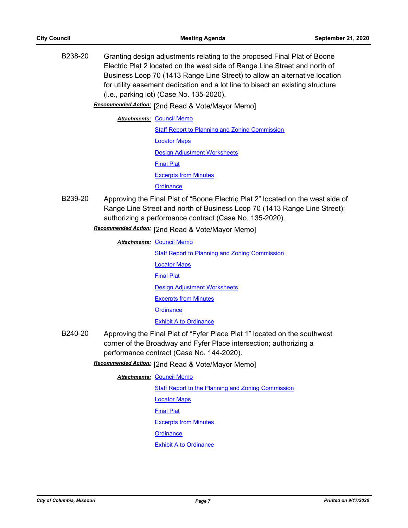B238-20 Granting design adjustments relating to the proposed Final Plat of Boone Electric Plat 2 located on the west side of Range Line Street and north of Business Loop 70 (1413 Range Line Street) to allow an alternative location for utility easement dedication and a lot line to bisect an existing structure (i.e., parking lot) (Case No. 135-2020).

**Recommended Action:** [2nd Read & Vote/Mayor Memo]

**Attachments: [Council Memo](http://gocolumbiamo.legistar.com/gateway.aspx?M=F&ID=0c96ed2f-c4c4-4ed9-88a9-e0d21a5d76fe.docx)** [Staff Report to Planning and Zoning Commission](http://gocolumbiamo.legistar.com/gateway.aspx?M=F&ID=a192efb0-30f5-4665-8360-23d6629a4527.docx) [Locator Maps](http://gocolumbiamo.legistar.com/gateway.aspx?M=F&ID=56a01d3a-ff76-46d6-810c-2cd24ee604f9.pdf) [Design Adjustment Worksheets](http://gocolumbiamo.legistar.com/gateway.aspx?M=F&ID=5f8c2858-cf23-4e3c-b0db-98ff3d678062.pdf) [Final Plat](http://gocolumbiamo.legistar.com/gateway.aspx?M=F&ID=99547cf8-d13f-4c8f-9228-5be750303a02.pdf) [Excerpts from Minutes](http://gocolumbiamo.legistar.com/gateway.aspx?M=F&ID=cc42287f-2a5a-4a50-9a75-59ef5a9727b7.docx) **[Ordinance](http://gocolumbiamo.legistar.com/gateway.aspx?M=F&ID=a12ae056-9f48-4720-84c4-52ff52056866.doc)** 

B239-20 Approving the Final Plat of "Boone Electric Plat 2" located on the west side of Range Line Street and north of Business Loop 70 (1413 Range Line Street); authorizing a performance contract (Case No. 135-2020).

## Recommended Action: [2nd Read & Vote/Mayor Memo]

- **Attachments: [Council Memo](http://gocolumbiamo.legistar.com/gateway.aspx?M=F&ID=002424df-ba10-4b2e-82b5-c6cf4b1a69e8.docx) [Staff Report to Planning and Zoning Commission](http://gocolumbiamo.legistar.com/gateway.aspx?M=F&ID=1c2be4f5-33a8-4211-9f0f-20458d0b2663.docx)** [Locator Maps](http://gocolumbiamo.legistar.com/gateway.aspx?M=F&ID=6f22bfb1-2d3c-4b10-8b74-a06a1d23fa42.pdf) [Final Plat](http://gocolumbiamo.legistar.com/gateway.aspx?M=F&ID=82a798e2-529d-42b5-9c5f-939950920378.pdf) [Design Adjustment Worksheets](http://gocolumbiamo.legistar.com/gateway.aspx?M=F&ID=42113854-f792-48f3-9436-6ad7e694cbc0.pdf) [Excerpts from Minutes](http://gocolumbiamo.legistar.com/gateway.aspx?M=F&ID=8211f1e3-548e-4214-a789-135c9e72734d.docx) **[Ordinance](http://gocolumbiamo.legistar.com/gateway.aspx?M=F&ID=7a219b29-a7bf-40a6-a09a-f58e01fc6e1c.doc)** [Exhibit A to Ordinance](http://gocolumbiamo.legistar.com/gateway.aspx?M=F&ID=6a367587-3f4c-48c9-9083-041180a25282.pdf)
- B240-20 Approving the Final Plat of "Fyfer Place Plat 1" located on the southwest corner of the Broadway and Fyfer Place intersection; authorizing a performance contract (Case No. 144-2020).

Recommended Action: [2nd Read & Vote/Mayor Memo]

**Attachments: [Council Memo](http://gocolumbiamo.legistar.com/gateway.aspx?M=F&ID=953b330d-e15f-4720-a3f2-00db7040c266.docx)** 

**[Staff Report to the Planning and Zoning Commission](http://gocolumbiamo.legistar.com/gateway.aspx?M=F&ID=46624f46-eb43-4879-b007-e4d07bfc61a3.docx)** [Locator Maps](http://gocolumbiamo.legistar.com/gateway.aspx?M=F&ID=15d26d84-65e3-45ff-b029-a6115452edd6.pdf) [Final Plat](http://gocolumbiamo.legistar.com/gateway.aspx?M=F&ID=634ac9e4-bd39-4cab-8fdc-149ebace1c4c.pdf) [Excerpts from Minutes](http://gocolumbiamo.legistar.com/gateway.aspx?M=F&ID=7f8338e3-9c4b-49a6-8215-37c788ddc4ac.docx) **[Ordinance](http://gocolumbiamo.legistar.com/gateway.aspx?M=F&ID=cfa55fbb-64aa-47fd-a382-d5508764fbaa.doc)** [Exhibit A to Ordinance](http://gocolumbiamo.legistar.com/gateway.aspx?M=F&ID=0647d4c1-0e09-4fb5-8485-5fa4bd354688.pdf)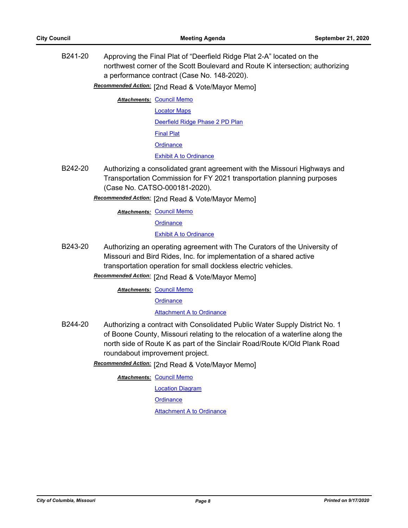B241-20 Approving the Final Plat of "Deerfield Ridge Plat 2-A" located on the northwest corner of the Scott Boulevard and Route K intersection; authorizing a performance contract (Case No. 148-2020).

Recommended Action: [2nd Read & Vote/Mayor Memo]

**Attachments: [Council Memo](http://gocolumbiamo.legistar.com/gateway.aspx?M=F&ID=495d5e28-5057-44d4-9c64-4d254d4e73a9.docx)** 

[Locator Maps](http://gocolumbiamo.legistar.com/gateway.aspx?M=F&ID=2c1880c9-1641-4216-9547-f77ea0374011.pdf)

[Deerfield Ridge Phase 2 PD Plan](http://gocolumbiamo.legistar.com/gateway.aspx?M=F&ID=bf4f8bf7-acc5-46be-ad0b-b44520c856e4.pdf)

[Final Plat](http://gocolumbiamo.legistar.com/gateway.aspx?M=F&ID=11242561-8d3a-4ad4-a376-5cccb4ee517a.pdf)

**[Ordinance](http://gocolumbiamo.legistar.com/gateway.aspx?M=F&ID=f02562de-0fca-4b82-b927-c2261ccdba9f.doc)** 

[Exhibit A to Ordinance](http://gocolumbiamo.legistar.com/gateway.aspx?M=F&ID=b5ccf404-c2e3-43ec-9e09-3072d61bfc5e.pdf)

B242-20 Authorizing a consolidated grant agreement with the Missouri Highways and Transportation Commission for FY 2021 transportation planning purposes (Case No. CATSO-000181-2020).

**Recommended Action:** [2nd Read & Vote/Mayor Memo]

**Attachments: [Council Memo](http://gocolumbiamo.legistar.com/gateway.aspx?M=F&ID=488acc67-a3aa-4336-a6ad-5ce1f0d0bc7b.docx)** 

**[Ordinance](http://gocolumbiamo.legistar.com/gateway.aspx?M=F&ID=5d3be8c3-8191-4ff2-b1f2-1fff2798f5b1.doc)** 

#### [Exhibit A to Ordinance](http://gocolumbiamo.legistar.com/gateway.aspx?M=F&ID=f81c3acf-cfef-4f49-b2df-6eb405d1c42f.pdf)

B243-20 Authorizing an operating agreement with The Curators of the University of Missouri and Bird Rides, Inc. for implementation of a shared active transportation operation for small dockless electric vehicles.

Recommended Action: [2nd Read & Vote/Mayor Memo]

**Attachments: [Council Memo](http://gocolumbiamo.legistar.com/gateway.aspx?M=F&ID=34ee79c8-8c64-4145-802d-1657f86edde9.docx)** 

**[Ordinance](http://gocolumbiamo.legistar.com/gateway.aspx?M=F&ID=9ef90e16-b720-44d1-aeed-4b7b888b81de.doc)** 

[Attachment A to Ordinance](http://gocolumbiamo.legistar.com/gateway.aspx?M=F&ID=2f2d9f02-1065-4eb4-b692-53d326d12bcd.pdf)

B244-20 Authorizing a contract with Consolidated Public Water Supply District No. 1 of Boone County, Missouri relating to the relocation of a waterline along the north side of Route K as part of the Sinclair Road/Route K/Old Plank Road roundabout improvement project.

**Recommended Action:** [2nd Read & Vote/Mayor Memo]

**Attachments: [Council Memo](http://gocolumbiamo.legistar.com/gateway.aspx?M=F&ID=1ac6eb24-3b05-4ac4-9bd7-d4b28fe37727.docx)** 

[Location Diagram](http://gocolumbiamo.legistar.com/gateway.aspx?M=F&ID=318945b9-7fcd-4a33-ade3-7483578d0341.pdf)

**[Ordinance](http://gocolumbiamo.legistar.com/gateway.aspx?M=F&ID=3fdab645-03ef-450b-b1db-83784929d3e5.doc)** 

**[Attachment A to Ordinance](http://gocolumbiamo.legistar.com/gateway.aspx?M=F&ID=5c82a84f-ab56-4a15-ba45-aeeb19dbdc5f.pdf)**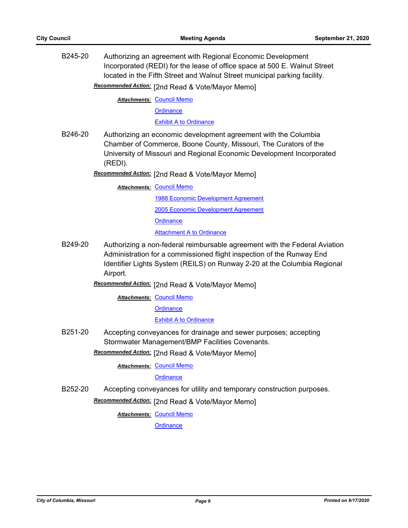B245-20 Authorizing an agreement with Regional Economic Development Incorporated (REDI) for the lease of office space at 500 E. Walnut Street located in the Fifth Street and Walnut Street municipal parking facility.

Recommended Action: [2nd Read & Vote/Mayor Memo]

**Attachments: [Council Memo](http://gocolumbiamo.legistar.com/gateway.aspx?M=F&ID=22b7ec8b-04b7-4b4a-a5b7-231d1e20efe5.docx)** 

**[Ordinance](http://gocolumbiamo.legistar.com/gateway.aspx?M=F&ID=d1c5509d-a756-4c6e-a107-5e8d0b400959.doc)** 

[Exhibit A to Ordinance](http://gocolumbiamo.legistar.com/gateway.aspx?M=F&ID=ac216e2b-6797-4d0d-8c50-4268788f5f07.pdf)

B246-20 Authorizing an economic development agreement with the Columbia Chamber of Commerce, Boone County, Missouri, The Curators of the University of Missouri and Regional Economic Development Incorporated (REDI).

**Recommended Action:** [2nd Read & Vote/Mayor Memo]

**Attachments: [Council Memo](http://gocolumbiamo.legistar.com/gateway.aspx?M=F&ID=0641d815-c5ba-49ff-abf9-33a27ebc2060.docx)** [1988 Economic Development Agreement](http://gocolumbiamo.legistar.com/gateway.aspx?M=F&ID=cc4a8a4d-d5ed-45e0-a679-88833dde4eee.pdf) [2005 Economic Development Agreement](http://gocolumbiamo.legistar.com/gateway.aspx?M=F&ID=815d2f79-999d-48b1-8dbc-2b34468bb945.pdf) **[Ordinance](http://gocolumbiamo.legistar.com/gateway.aspx?M=F&ID=126c1b98-4f26-43c1-b6b4-4b7d6b50aedb.doc)** [Attachment A to Ordinance](http://gocolumbiamo.legistar.com/gateway.aspx?M=F&ID=c5aadde8-32d8-444d-93a5-3f57b0d808a5.pdf)

- B249-20 Authorizing a non-federal reimbursable agreement with the Federal Aviation Administration for a commissioned flight inspection of the Runway End Identifier Lights System (REILS) on Runway 2-20 at the Columbia Regional Airport.
	- Recommended Action: [2nd Read & Vote/Mayor Memo]

**Attachments: [Council Memo](http://gocolumbiamo.legistar.com/gateway.aspx?M=F&ID=c5e22355-1e73-4e5e-b0c2-e7353afc2267.docx) [Ordinance](http://gocolumbiamo.legistar.com/gateway.aspx?M=F&ID=e7690c03-d895-49a7-9dc0-0957e414168c.doc)** [Exhibit A to Ordinance](http://gocolumbiamo.legistar.com/gateway.aspx?M=F&ID=517be2fe-a3bd-485d-8806-a9783d04e412.pdf)

B251-20 Accepting conveyances for drainage and sewer purposes; accepting Stormwater Management/BMP Facilities Covenants.

Recommended Action: [2nd Read & Vote/Mayor Memo]

**Attachments: [Council Memo](http://gocolumbiamo.legistar.com/gateway.aspx?M=F&ID=7bff0cc2-e4d1-4636-8279-26421a8433ec.docx)** 

**[Ordinance](http://gocolumbiamo.legistar.com/gateway.aspx?M=F&ID=ad689410-ca5f-4df2-ab5b-5a2c005143a3.doc)** 

B252-20 Accepting conveyances for utility and temporary construction purposes.

**Recommended Action:** [2nd Read & Vote/Mayor Memo]

**Attachments: [Council Memo](http://gocolumbiamo.legistar.com/gateway.aspx?M=F&ID=dcec7548-fea1-474e-9fc2-9827a221c339.docx)**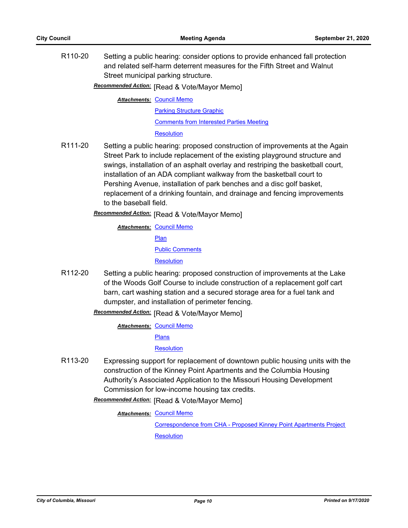R110-20 Setting a public hearing: consider options to provide enhanced fall protection and related self-harm deterrent measures for the Fifth Street and Walnut Street municipal parking structure.

**Recommended Action:** [Read & Vote/Mayor Memo]

**Attachments: [Council Memo](http://gocolumbiamo.legistar.com/gateway.aspx?M=F&ID=92943d31-1357-4471-beea-6ad3c4438522.docx)** 

[Parking Structure Graphic](http://gocolumbiamo.legistar.com/gateway.aspx?M=F&ID=4dad3d84-3c4d-4548-8242-0a9f02787da9.pdf)

[Comments from Interested Parties Meeting](http://gocolumbiamo.legistar.com/gateway.aspx?M=F&ID=ad6bd241-794c-4d2d-9342-e436774e1906.pdf)

## **[Resolution](http://gocolumbiamo.legistar.com/gateway.aspx?M=F&ID=daafec40-1e44-4393-b59b-54e346c7f1f7.doc)**

R111-20 Setting a public hearing: proposed construction of improvements at the Again Street Park to include replacement of the existing playground structure and swings, installation of an asphalt overlay and restriping the basketball court, installation of an ADA compliant walkway from the basketball court to Pershing Avenue, installation of park benches and a disc golf basket, replacement of a drinking fountain, and drainage and fencing improvements to the baseball field.

**Recommended Action:** [Read & Vote/Mayor Memo]

**Attachments: [Council Memo](http://gocolumbiamo.legistar.com/gateway.aspx?M=F&ID=478f5d47-b950-4f22-a633-1881ac2755c0.docx)** [Plan](http://gocolumbiamo.legistar.com/gateway.aspx?M=F&ID=9bb43d07-bf9d-41c3-a515-f6e41bbc64b2.pdf) [Public Comments](http://gocolumbiamo.legistar.com/gateway.aspx?M=F&ID=702112aa-ea59-4df9-931d-e01b2120a9b2.pdf) **[Resolution](http://gocolumbiamo.legistar.com/gateway.aspx?M=F&ID=14106e43-0c1e-4bed-b914-54fa3880abc0.doc)** 

R112-20 Setting a public hearing: proposed construction of improvements at the Lake of the Woods Golf Course to include construction of a replacement golf cart barn, cart washing station and a secured storage area for a fuel tank and dumpster, and installation of perimeter fencing.

**Recommended Action:** [Read & Vote/Mayor Memo]

**Attachments: [Council Memo](http://gocolumbiamo.legistar.com/gateway.aspx?M=F&ID=c714f597-24d9-487f-bff5-8d2f477473cf.docx)** [Plans](http://gocolumbiamo.legistar.com/gateway.aspx?M=F&ID=e6cbf3f8-cb41-4144-9602-37640813324e.pdf)

#### **[Resolution](http://gocolumbiamo.legistar.com/gateway.aspx?M=F&ID=8be09cde-87bb-4b62-bc71-ade9f94898b3.doc)**

R113-20 Expressing support for replacement of downtown public housing units with the construction of the Kinney Point Apartments and the Columbia Housing Authority's Associated Application to the Missouri Housing Development Commission for low-income housing tax credits.

**Recommended Action:** [Read & Vote/Mayor Memo]

**Attachments: [Council Memo](http://gocolumbiamo.legistar.com/gateway.aspx?M=F&ID=d244847f-771a-4c4b-b72a-07cd60a1cecf.docx)** 

[Correspondence from CHA - Proposed Kinney Point Apartments Project](http://gocolumbiamo.legistar.com/gateway.aspx?M=F&ID=5b43045b-39aa-4720-a30b-31cb2f658cc4.pdf) **[Resolution](http://gocolumbiamo.legistar.com/gateway.aspx?M=F&ID=453df0f3-d939-401b-8d6c-d19ba7e1a89e.doc)**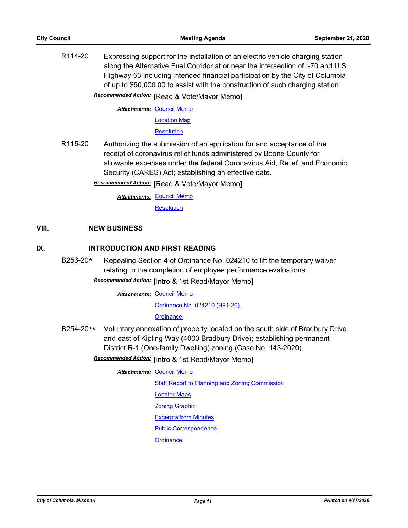R114-20 Expressing support for the installation of an electric vehicle charging station along the Alternative Fuel Corridor at or near the intersection of I-70 and U.S. Highway 63 including intended financial participation by the City of Columbia of up to \$50,000.00 to assist with the construction of such charging station.

**Recommended Action:** [Read & Vote/Mayor Memo]

**Attachments: [Council Memo](http://gocolumbiamo.legistar.com/gateway.aspx?M=F&ID=c3554ea6-89f1-481a-ab19-42361426dfc3.docx)** [Location Map](http://gocolumbiamo.legistar.com/gateway.aspx?M=F&ID=1524708a-9ac4-4f8c-b60a-d4a9106081a6.docx)

**[Resolution](http://gocolumbiamo.legistar.com/gateway.aspx?M=F&ID=fdc0fdef-5481-4cd4-a872-53976e69db37.doc)** 

R115-20 Authorizing the submission of an application for and acceptance of the receipt of coronavirus relief funds administered by Boone County for allowable expenses under the federal Coronavirus Aid, Relief, and Economic Security (CARES) Act; establishing an effective date.

**Recommended Action:** [Read & Vote/Mayor Memo]

**Attachments: [Council Memo](http://gocolumbiamo.legistar.com/gateway.aspx?M=F&ID=9ef2ac72-01b3-4a20-92aa-6569b5436f61.docx)** 

**[Resolution](http://gocolumbiamo.legistar.com/gateway.aspx?M=F&ID=1dc20137-047c-4607-a839-6fc6ab05d058.doc)** 

## **VIII. NEW BUSINESS**

#### **IX. INTRODUCTION AND FIRST READING**

B253-20**\*** Repealing Section 4 of Ordinance No. 024210 to lift the temporary waiver relating to the completion of employee performance evaluations.

Recommended Action: [Intro & 1st Read/Mayor Memo]

**Attachments: [Council Memo](http://gocolumbiamo.legistar.com/gateway.aspx?M=F&ID=05179316-c6b9-4b2b-8399-cbd8561fc27f.docx)** 

[Ordinance No. 024210 \(B91-20\)](http://gocolumbiamo.legistar.com/gateway.aspx?M=F&ID=046f6620-fc50-4c41-9e4b-6d6a85c850c9.pdf)

**[Ordinance](http://gocolumbiamo.legistar.com/gateway.aspx?M=F&ID=aad2b3ea-513a-401a-82ed-ba7638272dd9.doc)** 

B254-20**\*\*** Voluntary annexation of property located on the south side of Bradbury Drive and east of Kipling Way (4000 Bradbury Drive); establishing permanent District R-1 (One-family Dwelling) zoning (Case No. 143-2020).

**Recommended Action:** [Intro & 1st Read/Mayor Memo]

**Attachments: [Council Memo](http://gocolumbiamo.legistar.com/gateway.aspx?M=F&ID=2259b480-6a57-4e01-a148-a144ad19805f.docx)** 

[Staff Report to Planning and Zoning Commission](http://gocolumbiamo.legistar.com/gateway.aspx?M=F&ID=61eda50f-7738-4750-a26c-0b1da5f4e681.pdf)

[Locator Maps](http://gocolumbiamo.legistar.com/gateway.aspx?M=F&ID=f840f8df-dead-47f5-bde7-00fcad67b274.pdf)

- [Zoning Graphic](http://gocolumbiamo.legistar.com/gateway.aspx?M=F&ID=a019b385-393b-4e09-8e0d-f78d8bde4927.pdf)
- [Excerpts from Minutes](http://gocolumbiamo.legistar.com/gateway.aspx?M=F&ID=d52fa4ed-bcb6-42c4-8cfc-1b7b394c516d.pdf)
- [Public Correspondence](http://gocolumbiamo.legistar.com/gateway.aspx?M=F&ID=206f8fde-b99d-4f29-968e-8a795be247f9.pdf)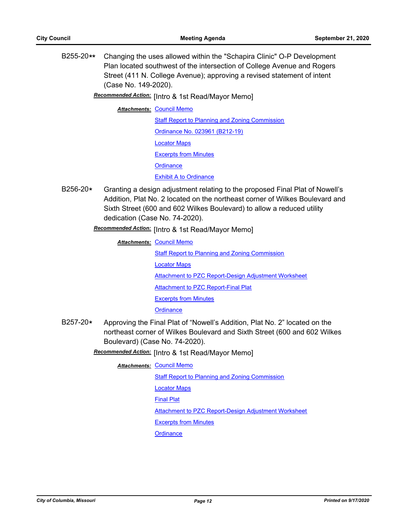B255-20**\*\*** Changing the uses allowed within the "Schapira Clinic" O-P Development Plan located southwest of the intersection of College Avenue and Rogers Street (411 N. College Avenue); approving a revised statement of intent (Case No. 149-2020).

Recommended Action: [Intro & 1st Read/Mayor Memo]

**Attachments: [Council Memo](http://gocolumbiamo.legistar.com/gateway.aspx?M=F&ID=0e8d9775-6be8-4f9d-8489-35cc669915e0.docx)** 

**[Staff Report to Planning and Zoning Commission](http://gocolumbiamo.legistar.com/gateway.aspx?M=F&ID=3fdb3660-bbb0-4b64-88e2-ea3b376c7832.docx)** [Ordinance No. 023961 \(B212-19\)](http://gocolumbiamo.legistar.com/gateway.aspx?M=F&ID=db556f17-2882-468c-926f-4c567fd9bf4e.pdf) [Locator Maps](http://gocolumbiamo.legistar.com/gateway.aspx?M=F&ID=bf988f8c-730c-4cba-b670-724be361cb42.pdf) [Excerpts from Minutes](http://gocolumbiamo.legistar.com/gateway.aspx?M=F&ID=16a19d1f-4c64-4ee6-b5f4-d9575832fe7b.docx) **[Ordinance](http://gocolumbiamo.legistar.com/gateway.aspx?M=F&ID=b72f2732-0f55-41d0-9714-b5b06a93b9a1.doc)** [Exhibit A to Ordinance](http://gocolumbiamo.legistar.com/gateway.aspx?M=F&ID=39768859-6042-4caa-a700-4e7fe849b689.pdf)

B256-20**\*** Granting a design adjustment relating to the proposed Final Plat of Nowell's Addition, Plat No. 2 located on the northeast corner of Wilkes Boulevard and Sixth Street (600 and 602 Wilkes Boulevard) to allow a reduced utility dedication (Case No. 74-2020).

**Recommended Action:** [Intro & 1st Read/Mayor Memo]

- **Attachments: [Council Memo](http://gocolumbiamo.legistar.com/gateway.aspx?M=F&ID=b7230440-6335-4bf5-b39a-cc1947829600.docx)** [Staff Report to Planning and Zoning Commission](http://gocolumbiamo.legistar.com/gateway.aspx?M=F&ID=348c3f50-1e07-4031-8235-f53ab30a10d9.docx) [Locator Maps](http://gocolumbiamo.legistar.com/gateway.aspx?M=F&ID=1ea74e4d-057d-47ab-a821-e2e82d757250.pdf) [Attachment to PZC Report-Design Adjustment Worksheet](http://gocolumbiamo.legistar.com/gateway.aspx?M=F&ID=35e971cf-d434-44a2-9848-71795ceb2dbb.pdf) [Attachment to PZC Report-Final Plat](http://gocolumbiamo.legistar.com/gateway.aspx?M=F&ID=bb0df6d3-0fa0-4929-bf22-3e08bfa9c80e.pdf) [Excerpts from Minutes](http://gocolumbiamo.legistar.com/gateway.aspx?M=F&ID=52ac96f9-dd94-409f-bb56-05932bed2534.docx) **[Ordinance](http://gocolumbiamo.legistar.com/gateway.aspx?M=F&ID=e9f216f8-6652-4f2a-a93f-c9372be34b84.doc)**
- B257-20**\*** Approving the Final Plat of "Nowell's Addition, Plat No. 2" located on the northeast corner of Wilkes Boulevard and Sixth Street (600 and 602 Wilkes Boulevard) (Case No. 74-2020).

Recommended Action: [Intro & 1st Read/Mayor Memo]

**Attachments: [Council Memo](http://gocolumbiamo.legistar.com/gateway.aspx?M=F&ID=cfcccbc2-25ab-4b41-9a8d-46d1e71f1a23.docx)** 

[Staff Report to Planning and Zoning Commission](http://gocolumbiamo.legistar.com/gateway.aspx?M=F&ID=1e74a61a-3c27-45bc-857a-0ccff0edf11c.docx) [Locator Maps](http://gocolumbiamo.legistar.com/gateway.aspx?M=F&ID=cbcc5336-c977-4991-a4a7-90163cb19400.pdf) [Final Plat](http://gocolumbiamo.legistar.com/gateway.aspx?M=F&ID=c6781721-e929-45c6-8ab3-a210f24b79c6.pdf) [Attachment to PZC Report-Design Adjustment Worksheet](http://gocolumbiamo.legistar.com/gateway.aspx?M=F&ID=60fd668a-55bb-47c1-a1a0-73361b0b23ce.pdf) [Excerpts from Minutes](http://gocolumbiamo.legistar.com/gateway.aspx?M=F&ID=dac4363c-6b56-45c3-929f-b9e86a6ff6ce.docx) **[Ordinance](http://gocolumbiamo.legistar.com/gateway.aspx?M=F&ID=ad368ce3-1b79-4f79-b7dc-dadd8996298b.doc)**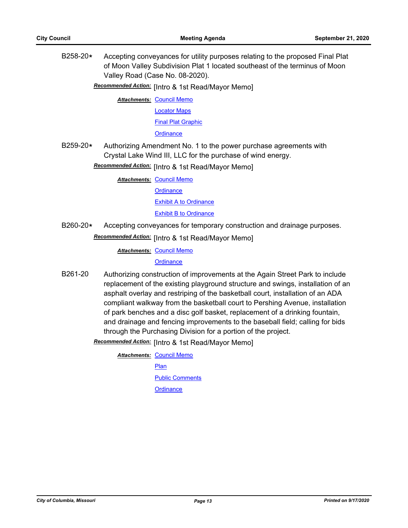B258-20**\*** Accepting conveyances for utility purposes relating to the proposed Final Plat of Moon Valley Subdivision Plat 1 located southeast of the terminus of Moon Valley Road (Case No. 08-2020).

Recommended Action: [Intro & 1st Read/Mayor Memo]

**Attachments: [Council Memo](http://gocolumbiamo.legistar.com/gateway.aspx?M=F&ID=fefa7afd-081e-4129-ac79-b1991b64f1a4.docx)** 

[Locator Maps](http://gocolumbiamo.legistar.com/gateway.aspx?M=F&ID=cc87f826-d1a9-4a21-bd7a-4ac579b3e2fe.pdf)

[Final Plat Graphic](http://gocolumbiamo.legistar.com/gateway.aspx?M=F&ID=11b57c63-9b71-40ae-bb5d-5c779cbd71f8.pdf)

**[Ordinance](http://gocolumbiamo.legistar.com/gateway.aspx?M=F&ID=54b88ef2-ceee-4a28-8d63-97404684784e.doc)** 

B259-20**\*** Authorizing Amendment No. 1 to the power purchase agreements with Crystal Lake Wind III, LLC for the purchase of wind energy.

Recommended Action: [Intro & 1st Read/Mayor Memo]

**Attachments: [Council Memo](http://gocolumbiamo.legistar.com/gateway.aspx?M=F&ID=53faf0ef-21aa-481e-9f7a-65b2b7c1f715.docx)** 

**[Ordinance](http://gocolumbiamo.legistar.com/gateway.aspx?M=F&ID=80b501b0-f668-4b81-a9ea-4018335881fe.doc)** 

[Exhibit A to Ordinance](http://gocolumbiamo.legistar.com/gateway.aspx?M=F&ID=72804732-5e45-4091-b2ff-e7f4dfa54a89.pdf)

[Exhibit B to Ordinance](http://gocolumbiamo.legistar.com/gateway.aspx?M=F&ID=f9dbee4e-5b08-4974-b374-c314941880d6.pdf)

B260-20**\*** Accepting conveyances for temporary construction and drainage purposes. Recommended Action: [Intro & 1st Read/Mayor Memo]

**Attachments: [Council Memo](http://gocolumbiamo.legistar.com/gateway.aspx?M=F&ID=50387e5b-3834-41aa-9a4e-c1d219d5e8aa.docx)** 

**[Ordinance](http://gocolumbiamo.legistar.com/gateway.aspx?M=F&ID=1f23a73f-7db4-4a1b-ac80-e7125fd9ac5e.doc)** 

B261-20 Authorizing construction of improvements at the Again Street Park to include replacement of the existing playground structure and swings, installation of an asphalt overlay and restriping of the basketball court, installation of an ADA compliant walkway from the basketball court to Pershing Avenue, installation of park benches and a disc golf basket, replacement of a drinking fountain, and drainage and fencing improvements to the baseball field; calling for bids through the Purchasing Division for a portion of the project.

**Recommended Action:** [Intro & 1st Read/Mayor Memo]

**Attachments: [Council Memo](http://gocolumbiamo.legistar.com/gateway.aspx?M=F&ID=70e82a20-3f9c-4000-85f7-744809f1f92b.docx)** [Plan](http://gocolumbiamo.legistar.com/gateway.aspx?M=F&ID=a7c87359-ac86-4ff6-ab49-4d128014b2b3.pdf) [Public Comments](http://gocolumbiamo.legistar.com/gateway.aspx?M=F&ID=2ffc8c5d-ec49-4a7c-a987-ab0d66ba6c22.pdf) **[Ordinance](http://gocolumbiamo.legistar.com/gateway.aspx?M=F&ID=2773ca6d-6ee9-4e42-881a-7c9dec38eb35.doc)**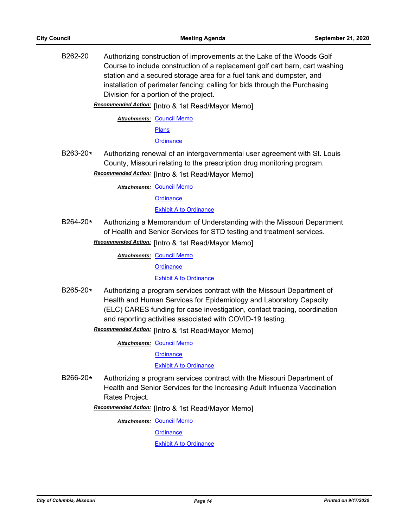- B262-20 Authorizing construction of improvements at the Lake of the Woods Golf Course to include construction of a replacement golf cart barn, cart washing station and a secured storage area for a fuel tank and dumpster, and installation of perimeter fencing; calling for bids through the Purchasing Division for a portion of the project. Recommended Action: [Intro & 1st Read/Mayor Memo] **Attachments: [Council Memo](http://gocolumbiamo.legistar.com/gateway.aspx?M=F&ID=bff36e92-56a2-448d-a9dd-4905d8f01c48.docx)** [Plans](http://gocolumbiamo.legistar.com/gateway.aspx?M=F&ID=146f9e08-15b1-4e08-b636-a7518174a1a3.pdf) **[Ordinance](http://gocolumbiamo.legistar.com/gateway.aspx?M=F&ID=b52991b5-36e0-48d4-8fe0-d095f2999dca.doc)**
- B263-20**\*** Authorizing renewal of an intergovernmental user agreement with St. Louis County, Missouri relating to the prescription drug monitoring program.

**Recommended Action:** [Intro & 1st Read/Mayor Memo]

**Attachments: [Council Memo](http://gocolumbiamo.legistar.com/gateway.aspx?M=F&ID=4e34b236-73c9-4262-978a-2f4de2479800.docx) [Ordinance](http://gocolumbiamo.legistar.com/gateway.aspx?M=F&ID=f6609e59-ddb5-41de-8d66-576ad9905fac.doc)** 

[Exhibit A to Ordinance](http://gocolumbiamo.legistar.com/gateway.aspx?M=F&ID=9c3eb68e-3697-4b70-97cb-263f7a224710.pdf)

B264-20**\*** Authorizing a Memorandum of Understanding with the Missouri Department of Health and Senior Services for STD testing and treatment services.

Recommended Action: [Intro & 1st Read/Mayor Memo]

**Attachments: [Council Memo](http://gocolumbiamo.legistar.com/gateway.aspx?M=F&ID=eea6f496-da8a-4eb3-afb5-21b467fea062.docx)** 

**[Ordinance](http://gocolumbiamo.legistar.com/gateway.aspx?M=F&ID=36aa018f-2c62-451e-8e4d-81c83a320952.doc)** 

#### [Exhibit A to Ordinance](http://gocolumbiamo.legistar.com/gateway.aspx?M=F&ID=a40d9262-8463-45aa-8e6b-a76c215a92ae.pdf)

B265-20**\*** Authorizing a program services contract with the Missouri Department of Health and Human Services for Epidemiology and Laboratory Capacity (ELC) CARES funding for case investigation, contact tracing, coordination and reporting activities associated with COVID-19 testing.

**Recommended Action:** [Intro & 1st Read/Mayor Memo]

**Attachments: [Council Memo](http://gocolumbiamo.legistar.com/gateway.aspx?M=F&ID=9c264054-524c-4c11-ab98-e6207a81e477.docx)** 

**[Ordinance](http://gocolumbiamo.legistar.com/gateway.aspx?M=F&ID=16752805-304a-4467-a5fd-008234083a31.doc)** 

[Exhibit A to Ordinance](http://gocolumbiamo.legistar.com/gateway.aspx?M=F&ID=add785bc-46a6-4bac-9803-768f9063b0d9.pdf)

B266-20**\*** Authorizing a program services contract with the Missouri Department of Health and Senior Services for the Increasing Adult Influenza Vaccination Rates Project.

Recommended Action: [Intro & 1st Read/Mayor Memo]

**Attachments: [Council Memo](http://gocolumbiamo.legistar.com/gateway.aspx?M=F&ID=6304bd4b-07ee-419a-bb9e-bf1260b8bb1a.docx)** 

**[Ordinance](http://gocolumbiamo.legistar.com/gateway.aspx?M=F&ID=ae943583-f163-4996-9bda-3d72f5cba64e.doc)** 

[Exhibit A to Ordinance](http://gocolumbiamo.legistar.com/gateway.aspx?M=F&ID=13a1f15c-a4b2-445c-904a-1e2800044daf.pdf)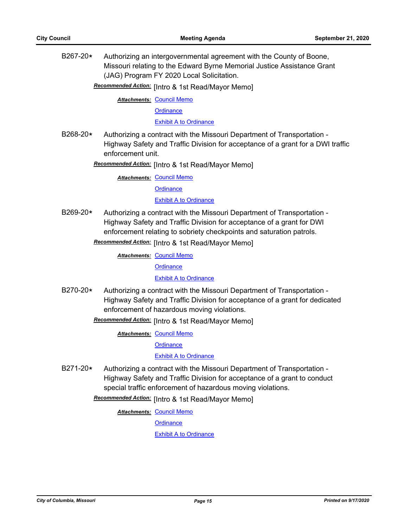B267-20**\*** Authorizing an intergovernmental agreement with the County of Boone, Missouri relating to the Edward Byrne Memorial Justice Assistance Grant (JAG) Program FY 2020 Local Solicitation.

Recommended Action: [Intro & 1st Read/Mayor Memo]

**Attachments: [Council Memo](http://gocolumbiamo.legistar.com/gateway.aspx?M=F&ID=4574203d-f53e-40e0-b2ff-062e8ffae8b2.docx)** 

**[Ordinance](http://gocolumbiamo.legistar.com/gateway.aspx?M=F&ID=71af59b7-8913-4223-acf3-0a3271a6e6ae.doc)** 

[Exhibit A to Ordinance](http://gocolumbiamo.legistar.com/gateway.aspx?M=F&ID=f80976d3-f821-430c-b3d9-52e2226715bc.pdf)

B268-20**\*** Authorizing a contract with the Missouri Department of Transportation - Highway Safety and Traffic Division for acceptance of a grant for a DWI traffic enforcement unit.

Recommended Action: [Intro & 1st Read/Mayor Memo]

**Attachments: [Council Memo](http://gocolumbiamo.legistar.com/gateway.aspx?M=F&ID=c17cfe67-a314-4eb5-bf26-37752d6dd5b9.docx)** 

**[Ordinance](http://gocolumbiamo.legistar.com/gateway.aspx?M=F&ID=01715fa6-9732-41eb-8f65-aa74a505a7e6.doc)** 

#### [Exhibit A to Ordinance](http://gocolumbiamo.legistar.com/gateway.aspx?M=F&ID=d43c0e1c-e956-41a8-a179-af08f3221ef1.pdf)

B269-20**\*** Authorizing a contract with the Missouri Department of Transportation - Highway Safety and Traffic Division for acceptance of a grant for DWI enforcement relating to sobriety checkpoints and saturation patrols.

Recommended Action: [Intro & 1st Read/Mayor Memo]

**Attachments: [Council Memo](http://gocolumbiamo.legistar.com/gateway.aspx?M=F&ID=0846e64d-5902-458a-9a3b-818ff04da4ae.docx)** 

**[Ordinance](http://gocolumbiamo.legistar.com/gateway.aspx?M=F&ID=ec61fb16-d07b-4068-8277-175b86aba144.doc)** 

#### [Exhibit A to Ordinance](http://gocolumbiamo.legistar.com/gateway.aspx?M=F&ID=440a6b17-a13c-43fc-9739-f21bb2e43408.pdf)

B270-20**\*** Authorizing a contract with the Missouri Department of Transportation - Highway Safety and Traffic Division for acceptance of a grant for dedicated enforcement of hazardous moving violations.

Recommended Action: [Intro & 1st Read/Mayor Memo]

**Attachments: [Council Memo](http://gocolumbiamo.legistar.com/gateway.aspx?M=F&ID=8e51206f-2b25-4136-a9de-3fb39d734e12.docx)** 

**[Ordinance](http://gocolumbiamo.legistar.com/gateway.aspx?M=F&ID=117692ae-27a8-45ef-adc3-a375e1bfbd72.doc)** 

[Exhibit A to Ordinance](http://gocolumbiamo.legistar.com/gateway.aspx?M=F&ID=efd47df5-e4b6-4b1b-acf7-2e1e465bb308.pdf)

B271-20**\*** Authorizing a contract with the Missouri Department of Transportation - Highway Safety and Traffic Division for acceptance of a grant to conduct special traffic enforcement of hazardous moving violations.

**Recommended Action:** [Intro & 1st Read/Mayor Memo]

**Attachments: [Council Memo](http://gocolumbiamo.legistar.com/gateway.aspx?M=F&ID=21a1f1e6-d25e-4a49-8fd1-47abb8b99297.docx)** 

**[Ordinance](http://gocolumbiamo.legistar.com/gateway.aspx?M=F&ID=5ca7649a-b0ea-467a-8479-e8e8c86aea34.doc)** 

**[Exhibit A to Ordinance](http://gocolumbiamo.legistar.com/gateway.aspx?M=F&ID=0cb10497-0eed-4d58-ac31-7f85634ef38b.pdf)**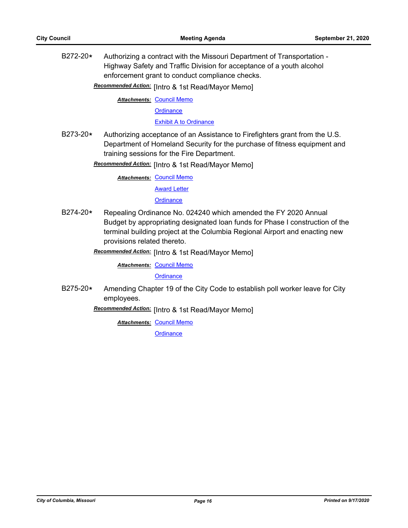B272-20**\*** Authorizing a contract with the Missouri Department of Transportation - Highway Safety and Traffic Division for acceptance of a youth alcohol enforcement grant to conduct compliance checks.

**Recommended Action:** [Intro & 1st Read/Mayor Memo]

**Attachments: [Council Memo](http://gocolumbiamo.legistar.com/gateway.aspx?M=F&ID=ae06826d-3e6c-4588-b6fc-37f7004a15ac.docx)** 

**[Ordinance](http://gocolumbiamo.legistar.com/gateway.aspx?M=F&ID=bc36c851-9f60-4832-bc1f-2acd72764ee9.doc)** 

[Exhibit A to Ordinance](http://gocolumbiamo.legistar.com/gateway.aspx?M=F&ID=64d9373b-f53d-442b-967e-d52fe027ec8c.pdf)

B273-20**\*** Authorizing acceptance of an Assistance to Firefighters grant from the U.S. Department of Homeland Security for the purchase of fitness equipment and training sessions for the Fire Department.

[Intro & 1st Read/Mayor Memo] *Recommended Action:*

**Attachments: [Council Memo](http://gocolumbiamo.legistar.com/gateway.aspx?M=F&ID=ce4b3e88-bd03-49c4-87d5-0b35340f769d.docx)** 

[Award Letter](http://gocolumbiamo.legistar.com/gateway.aspx?M=F&ID=69bed687-e5e5-4a1f-9a49-59f2ce22176c.pdf)

**[Ordinance](http://gocolumbiamo.legistar.com/gateway.aspx?M=F&ID=db947baa-7a16-4d43-8386-2d563abb0f02.doc)** 

B274-20**\*** Repealing Ordinance No. 024240 which amended the FY 2020 Annual Budget by appropriating designated loan funds for Phase I construction of the terminal building project at the Columbia Regional Airport and enacting new provisions related thereto.

**Recommended Action:** [Intro & 1st Read/Mayor Memo]

**Attachments: [Council Memo](http://gocolumbiamo.legistar.com/gateway.aspx?M=F&ID=b955105d-6485-40d4-a7ac-ac5324b38a62.docx)** 

**[Ordinance](http://gocolumbiamo.legistar.com/gateway.aspx?M=F&ID=ae995a36-f10c-4974-9179-629fa46059b3.doc)** 

B275-20**\*** Amending Chapter 19 of the City Code to establish poll worker leave for City employees.

**Recommended Action:** [Intro & 1st Read/Mayor Memo]

**Attachments: [Council Memo](http://gocolumbiamo.legistar.com/gateway.aspx?M=F&ID=43271a25-79a3-4415-a77d-a58ca551c245.docx)**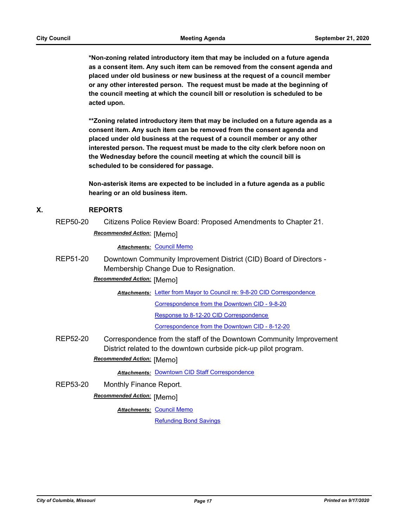**\*Non-zoning related introductory item that may be included on a future agenda as a consent item. Any such item can be removed from the consent agenda and placed under old business or new business at the request of a council member or any other interested person. The request must be made at the beginning of the council meeting at which the council bill or resolution is scheduled to be acted upon.** 

**\*\*Zoning related introductory item that may be included on a future agenda as a consent item. Any such item can be removed from the consent agenda and placed under old business at the request of a council member or any other interested person. The request must be made to the city clerk before noon on the Wednesday before the council meeting at which the council bill is scheduled to be considered for passage.**

**Non-asterisk items are expected to be included in a future agenda as a public hearing or an old business item.**

#### **X. REPORTS**

REP50-20 Citizens Police Review Board: Proposed Amendments to Chapter 21. **Recommended Action:** [Memo]

*Attachments:* [Council Memo](http://gocolumbiamo.legistar.com/gateway.aspx?M=F&ID=8d6d3787-84f8-4bcb-96b6-a49c6f5b13bf.docx)

REP51-20 Downtown Community Improvement District (CID) Board of Directors - Membership Change Due to Resignation.

**Recommended Action:** [Memo]

Attachments: [Letter from Mayor to Council re: 9-8-20 CID Correspondence](http://gocolumbiamo.legistar.com/gateway.aspx?M=F&ID=d70430f1-435e-4639-9c74-11b957650966.pdf)

[Correspondence from the Downtown CID - 9-8-20](http://gocolumbiamo.legistar.com/gateway.aspx?M=F&ID=732ae8b3-c43c-43ed-a617-364cbe85d947.pdf)

[Response to 8-12-20 CID Correspondence](http://gocolumbiamo.legistar.com/gateway.aspx?M=F&ID=fa114e5b-5e14-4885-b153-b3710f0f05da.pdf)

[Correspondence from the Downtown CID - 8-12-20](http://gocolumbiamo.legistar.com/gateway.aspx?M=F&ID=4962d281-2ffc-4c26-8c81-f9e8d0cb87fa.pdf)

REP52-20 Correspondence from the staff of the Downtown Community Improvement District related to the downtown curbside pick-up pilot program.

**Recommended Action:** [Memo]

*Attachments:* [Downtown CID Staff Correspondence](http://gocolumbiamo.legistar.com/gateway.aspx?M=F&ID=4523bde1-5e7b-4885-81c5-81606e547534.docx)

REP53-20 Monthly Finance Report.

**Recommended Action: [Memo]** 

**Attachments: [Council Memo](http://gocolumbiamo.legistar.com/gateway.aspx?M=F&ID=5f126244-1915-496f-b21a-990fcae5d1f8.docx)** 

[Refunding Bond Savings](http://gocolumbiamo.legistar.com/gateway.aspx?M=F&ID=303ae2ea-0672-46dd-bd5b-50794011e2c2.pdf)